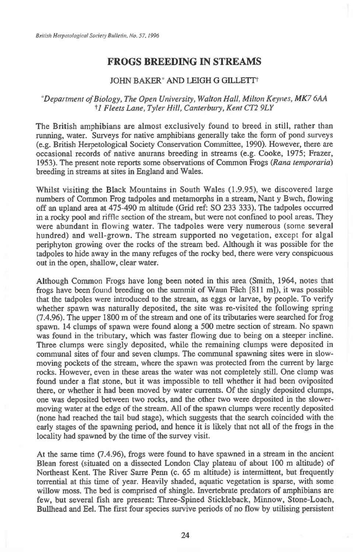## **FROGS BREEDING IN STREAMS**

## JOHN BAKER' AND LEIGH G GILLETFt

## *Department of Biology, The Open University, Walton Hall, Milton Keynes, MK7 6AA t'1 Fleets Lane, Tyler Hill, Canterbury, Kent CT2 9LY*

The British amphibians are almost exclusively found to breed in still, rather than running, water. Surveys for native amphibians generally take the form of pond surveys (e.g. British Herpetological Society Conservation Committee, 1990). However, there are occasional records of native anurans breeding in streams (e.g. Cooke, 1975; Frazer, 1953). The present note reports some observations of Common Frogs *(Rana temporaria)*  breeding in streams at sites in England and Wales.

Whilst visiting the Black Mountains in South Wales (1.9.95), we discovered large numbers of Common Frog tadpoles and metamorphs in a stream, Nant y Bwch, flowing off an upland area at 475-490 m altitude (Grid ref: SO 233 333). The tadpoles occurred in a rocky pool and riffle section of the stream, but were not confined to pool areas. They were abundant in flowing water. The tadpoles were very numerous (some several hundred) and well-grown. The stream supported no vegetation, except for algal periphyton growing over the rocks of the stream bed. Although it was possible for the tadpoles to hide away in the many refuges of the rocky bed, there were very conspicuous out in the open, shallow, clear water.

Although Common Frogs have long been noted in this area (Smith, 1964, notes that frogs have been found breeding on the summit of Waun Ffich [811 m]), it was possible that the tadpoles were introduced to the stream, as eggs or larvae, by people. To verify whether spawn was naturally deposited, the site was re-visited the following spring (7.4.96). The upper 1800 m of the stream and one of its tributaries were searched for frog spawn. 14 clumps of spawn were found along a 500 metre section of stream. No spawn was found in the tributary, which was faster flowing due to being on a steeper incline. Three clumps were singly deposited, while the remaining clumps were deposited in communal sites of four and seven clumps. The communal spawning sites were in slowmoving pockets of the stream, where the spawn was protected from the current by large rocks. However, even in these areas the water was not completely still. One clump was found under a flat stone, but it was impossible to tell whether it had been oviposited there, or whether it had been moved by water currents. Of the singly deposited clumps, one was deposited between two rocks, and the other two were deposited in the slowermoving water at the edge of the stream. All of the spawn clumps were recently deposited (none had reached the tail bud stage), which suggests that the search coincided with the early stages of the spawning period, and hence it is likely that not all of the frogs in the locality had spawned by the time of the survey visit.

At the same time (7.4.96), frogs were found to have spawned in a stream in the ancient Blean forest (situated on a dissected London Clay plateau of about 100 m altitude) of Northeast Kent. The River Sarre Penn (c. 65 m altitude) is intermittent, but frequently torrential at this time of year. Heavily shaded, aquatic vegetation is sparse, with some willow moss. The bed is comprised of shingle. Invertebrate predators of amphibians are few, but several fish are present: Three-Spined Stickleback, Minnow, Stone-Loach, Bullhead and Eel. The first four species survive periods of no flow by utilising persistent